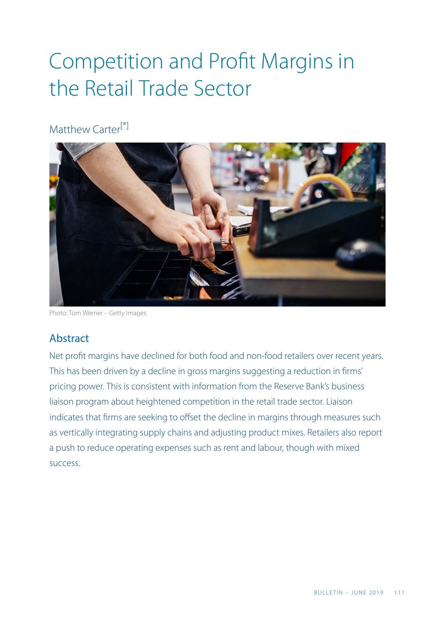# Competition and Profit Margins in the Retail Trade Sector

Matthew Carter<sup>[\*]</sup>

<span id="page-0-0"></span>

Photo: Tom Werner – Getty Images

## Abstract

Net profit margins have declined for both food and non-food retailers over recent years. This has been driven by a decline in gross margins suggesting a reduction in firms' pricing power. This is consistent with information from the Reserve Bank's business liaison program about heightened competition in the retail trade sector. Liaison indicates that firms are seeking to offset the decline in margins through measures such as vertically integrating supply chains and adjusting product mixes. Retailers also report a push to reduce operating expenses such as rent and labour, though with mixed success.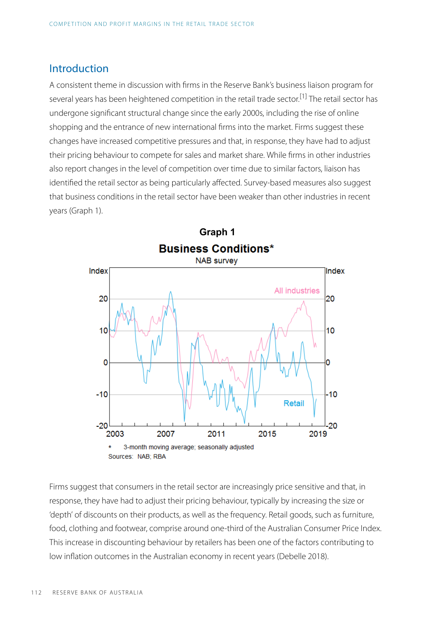## Introduction

<span id="page-1-0"></span>A consistent theme in discussion with firms in the Reserve Bank's business liaison program for several years has been heightened competition in the retail trade sector.<sup>[\[1\]](#page-11-0)</sup> The retail sector has undergone significant structural change since the early 2000s, including the rise of online shopping and the entrance of new international firms into the market. Firms suggest these changes have increased competitive pressures and that, in response, they have had to adjust their pricing behaviour to compete for sales and market share. While firms in other industries also report changes in the level of competition over time due to similar factors, liaison has identified the retail sector as being particularly affected. Survey-based measures also suggest that business conditions in the retail sector have been weaker than other industries in recent years (Graph 1).



Firms suggest that consumers in the retail sector are increasingly price sensitive and that, in response, they have had to adjust their pricing behaviour, typically by increasing the size or 'depth' of discounts on their products, as well as the frequency. Retail goods, such as furniture, food, clothing and footwear, comprise around one-third of the Australian Consumer Price Index. This increase in discounting behaviour by retailers has been one of the factors contributing to low inflation outcomes in the Australian economy in recent years (Debelle 2018).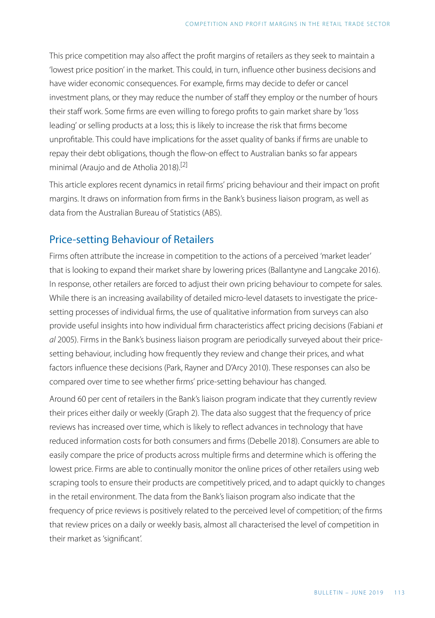This price competition may also affect the profit margins of retailers as they seek to maintain a 'lowest price position' in the market. This could, in turn, influence other business decisions and have wider economic consequences. For example, firms may decide to defer or cancel investment plans, or they may reduce the number of staff they employ or the number of hours their staff work. Some firms are even willing to forego profits to gain market share by 'loss leading' or selling products at a loss; this is likely to increase the risk that firms become unprofitable. This could have implications for the asset quality of banks if firms are unable to repay their debt obligations, though the flow-on effect to Australian banks so far appears minimal (Araujo and de Atholia 2018).[\[2\]](#page-11-1)

<span id="page-2-0"></span>This article explores recent dynamics in retail firms' pricing behaviour and their impact on profit margins. It draws on information from firms in the Bank's business liaison program, as well as data from the Australian Bureau of Statistics (ABS).

## Price-setting Behaviour of Retailers

Firms often attribute the increase in competition to the actions of a perceived 'market leader' that is looking to expand their market share by lowering prices (Ballantyne and Langcake 2016). In response, other retailers are forced to adjust their own pricing behaviour to compete for sales. While there is an increasing availability of detailed micro-level datasets to investigate the pricesetting processes of individual firms, the use of qualitative information from surveys can also provide useful insights into how individual firm characteristics affect pricing decisions (Fabiani *et al* 2005). Firms in the Bank's business liaison program are periodically surveyed about their pricesetting behaviour, including how frequently they review and change their prices, and what factors influence these decisions (Park, Rayner and D'Arcy 2010). These responses can also be compared over time to see whether firms' price-setting behaviour has changed.

Around 60 per cent of retailers in the Bank's liaison program indicate that they currently review their prices either daily or weekly (Graph 2). The data also suggest that the frequency of price reviews has increased over time, which is likely to reflect advances in technology that have reduced information costs for both consumers and firms (Debelle 2018). Consumers are able to easily compare the price of products across multiple firms and determine which is offering the lowest price. Firms are able to continually monitor the online prices of other retailers using web scraping tools to ensure their products are competitively priced, and to adapt quickly to changes in the retail environment. The data from the Bank's liaison program also indicate that the frequency of price reviews is positively related to the perceived level of competition; of the firms that review prices on a daily or weekly basis, almost all characterised the level of competition in their market as 'significant'.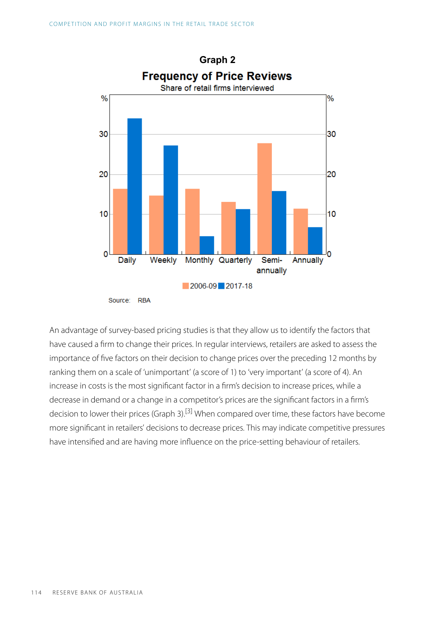

<span id="page-3-0"></span>An advantage of survey-based pricing studies is that they allow us to identify the factors that have caused a firm to change their prices. In regular interviews, retailers are asked to assess the importance of five factors on their decision to change prices over the preceding 12 months by ranking them on a scale of 'unimportant' (a score of 1) to 'very important' (a score of 4). An increase in costs is the most significant factor in a firm's decision to increase prices, while a decrease in demand or a change in a competitor's prices are the significant factors in a firm's decision to lower their prices (Graph 3).<sup>[\[3\]](#page-11-0)</sup> When compared over time, these factors have become more significant in retailers' decisions to decrease prices. This may indicate competitive pressures have intensified and are having more influence on the price-setting behaviour of retailers.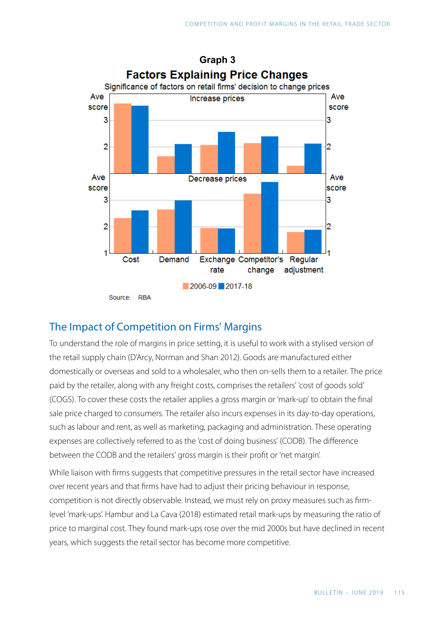

## The Impact of Competition on Firms' Margins

To understand the role of margins in price setting, it is useful to work with a stylised version of the retail supply chain (D'Arcy, Norman and Shan 2012). Goods are manufactured either domestically or overseas and sold to a wholesaler, who then on-sells them to a retailer. The price paid by the retailer, along with any freight costs, comprises the retailers' 'cost of goods sold' (COGS). To cover these costs the retailer applies a gross margin or 'mark-up' to obtain the final sale price charged to consumers. The retailer also incurs expenses in its day-to-day operations, such as labour and rent, as well as marketing, packaging and administration. These operating expenses are collectively referred to as the 'cost of doing business' (CODB). The difference between the CODB and the retailers' gross margin is their profit or 'net margin'.

While liaison with firms suggests that competitive pressures in the retail sector have increased over recent years and that firms have had to adjust their pricing behaviour in response, competition is not directly observable. Instead, we must rely on proxy measures such as firmlevel 'mark-ups'. Hambur and La Cava (2018) estimated retail mark-ups by measuring the ratio of price to marginal cost. They found mark-ups rose over the mid 2000s but have declined in recent years, which suggests the retail sector has become more competitive.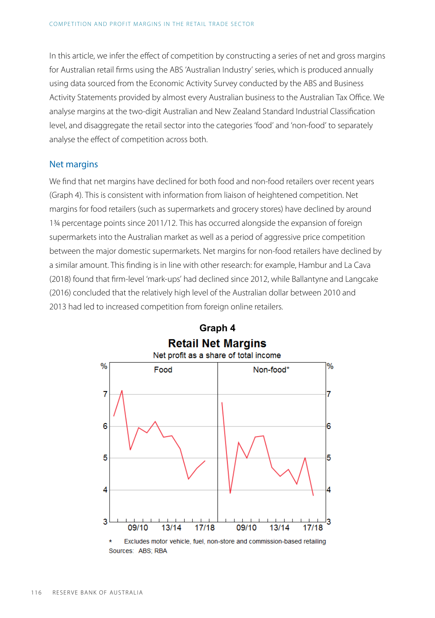In this article, we infer the effect of competition by constructing a series of net and gross margins for Australian retail firms using the ABS 'Australian Industry' series, which is produced annually using data sourced from the Economic Activity Survey conducted by the ABS and Business Activity Statements provided by almost every Australian business to the Australian Tax Office. We analyse margins at the two-digit Australian and New Zealand Standard Industrial Classification level, and disaggregate the retail sector into the categories 'food' and 'non-food' to separately analyse the effect of competition across both.

#### Net margins

We find that net margins have declined for both food and non-food retailers over recent years (Graph 4). This is consistent with information from liaison of heightened competition. Net margins for food retailers (such as supermarkets and grocery stores) have declined by around 1¾ percentage points since 2011/12 . This has occurred alongside the expansion of foreign supermarkets into the Australian market as well as a period of aggressive price competition between the major domestic supermarkets. Net margins for non-food retailers have declined by a similar amount. This finding is in line with other research: for example, Hambur and La Cava (2018) found that firm-level 'mark-ups' had declined since 2012, while Ballantyne and Langcake (2016) concluded that the relatively high level of the Australian dollar between 2010 and 2013 had led to increased competition from foreign online retailers.





Sources: ABS: RBA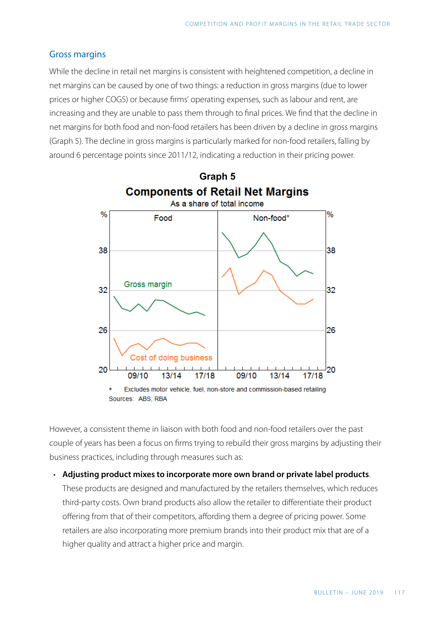#### Gross margins

While the decline in retail net margins is consistent with heightened competition, a decline in net margins can be caused by one of two things: a reduction in gross margins (due to lower prices or higher COGS) or because firms' operating expenses, such as labour and rent, are increasing and they are unable to pass them through to final prices. We find that the decline in net margins for both food and non-food retailers has been driven by a decline in gross margins (Graph 5). The decline in gross margins is particularly marked for non-food retailers, falling by around 6 percentage points since 2011/12 , indicating a reduction in their pricing power.



However, a consistent theme in liaison with both food and non-food retailers over the past couple of years has been a focus on firms trying to rebuild their gross margins by adjusting their business practices, including through measures such as:

• **Adjusting product mixes to incorporate more own brand or private label products**. These products are designed and manufactured by the retailers themselves, which reduces third-party costs. Own brand products also allow the retailer to differentiate their product offering from that of their competitors, affording them a degree of pricing power. Some retailers are also incorporating more premium brands into their product mix that are of a higher quality and attract a higher price and margin.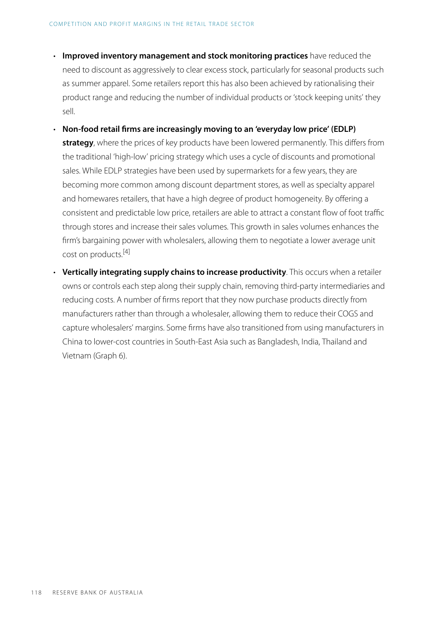- **Improved inventory management and stock monitoring practices** have reduced the need to discount as aggressively to clear excess stock, particularly for seasonal products such as summer apparel. Some retailers report this has also been achieved by rationalising their product range and reducing the number of individual products or 'stock keeping units' they sell.
- **Non-food retail firms are increasingly moving to an 'everyday low price' (EDLP) strategy**, where the prices of key products have been lowered permanently. This differs from the traditional 'high-low' pricing strategy which uses a cycle of discounts and promotional sales. While EDLP strategies have been used by supermarkets for a few years, they are becoming more common among discount department stores, as well as specialty apparel and homewares retailers, that have a high degree of product homogeneity. By offering a consistent and predictable low price, retailers are able to attract a constant flow of foot traffic through stores and increase their sales volumes. This growth in sales volumes enhances the firm's bargaining power with wholesalers, allowing them to negotiate a lower average unit cost on products. [\[4\]](#page-11-2)
- <span id="page-7-0"></span>• **Vertically integrating supply chains to increase productivity**. This occurs when a retailer owns or controls each step along their supply chain, removing third-party intermediaries and reducing costs. A number of firms report that they now purchase products directly from manufacturers rather than through a wholesaler, allowing them to reduce their COGS and capture wholesalers' margins. Some firms have also transitioned from using manufacturers in China to lower-cost countries in South-East Asia such as Bangladesh, India, Thailand and Vietnam (Graph 6).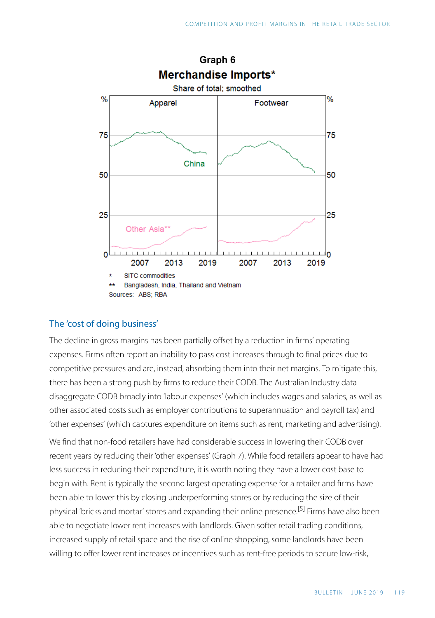

#### The 'cost of doing business'

The decline in gross margins has been partially offset by a reduction in firms' operating expenses. Firms often report an inability to pass cost increases through to final prices due to competitive pressures and are, instead, absorbing them into their net margins. To mitigate this, there has been a strong push by firms to reduce their CODB. The Australian Industry data disaggregate CODB broadly into 'labour expenses' (which includes wages and salaries, as well as other associated costs such as employer contributions to superannuation and payroll tax) and 'other expenses' (which captures expenditure on items such as rent, marketing and advertising).

<span id="page-8-0"></span>We find that non-food retailers have had considerable success in lowering their CODB over recent years by reducing their 'other expenses' (Graph 7). While food retailers appear to have had less success in reducing their expenditure, it is worth noting they have a lower cost base to begin with. Rent is typically the second largest operating expense for a retailer and firms have been able to lower this by closing underperforming stores or by reducing the size of their physical 'bricks and mortar' stores and expanding their online presence. [\[5\]](#page-11-3) Firms have also been able to negotiate lower rent increases with landlords. Given softer retail trading conditions, increased supply of retail space and the rise of online shopping, some landlords have been willing to offer lower rent increases or incentives such as rent-free periods to secure low-risk,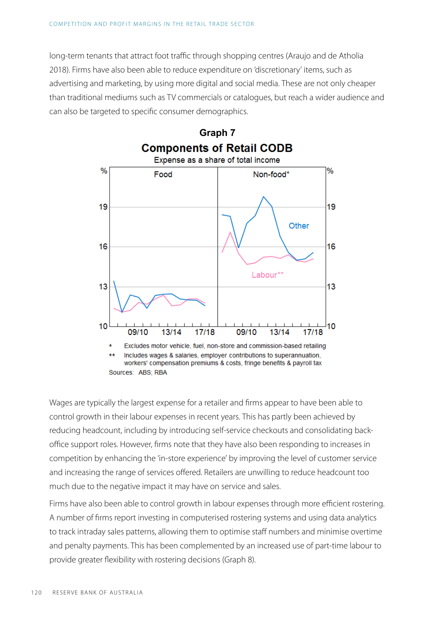long-term tenants that attract foot traffic through shopping centres (Araujo and de Atholia 2018). Firms have also been able to reduce expenditure on 'discretionary' items, such as advertising and marketing, by using more digital and social media. These are not only cheaper than traditional mediums such as TV commercials or catalogues, but reach a wider audience and can also be targeted to specific consumer demographics.



Wages are typically the largest expense for a retailer and firms appear to have been able to control growth in their labour expenses in recent years. This has partly been achieved by reducing headcount, including by introducing self-service checkouts and consolidating backoffice support roles. However, firms note that they have also been responding to increases in competition by enhancing the 'in-store experience' by improving the level of customer service and increasing the range of services offered. Retailers are unwilling to reduce headcount too much due to the negative impact it may have on service and sales.

Firms have also been able to control growth in labour expenses through more efficient rostering. A number of firms report investing in computerised rostering systems and using data analytics to track intraday sales patterns, allowing them to optimise staff numbers and minimise overtime and penalty payments. This has been complemented by an increased use of part-time labour to provide greater flexibility with rostering decisions (Graph 8).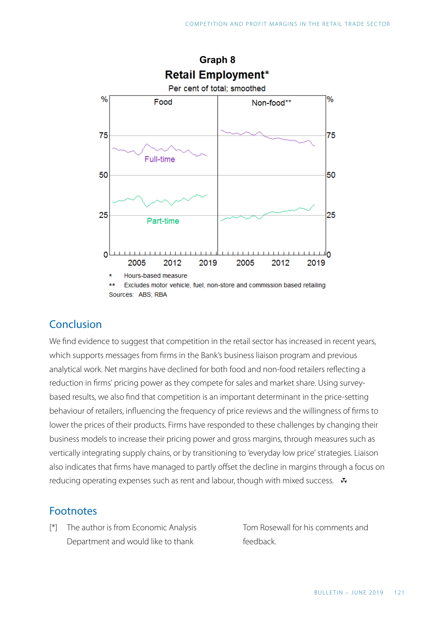

## Conclusion

We find evidence to suggest that competition in the retail sector has increased in recent years, which supports messages from firms in the Bank's business liaison program and previous analytical work. Net margins have declined for both food and non-food retailers reflecting a reduction in firms' pricing power as they compete for sales and market share. Using surveybased results, we also find that competition is an important determinant in the price-setting behaviour of retailers, influencing the frequency of price reviews and the willingness of firms to lower the prices of their products. Firms have responded to these challenges by changing their business models to increase their pricing power and gross margins, through measures such as vertically integrating supply chains, or by transitioning to 'everyday low price' strategies. Liaison also indicates that firms have managed to partly offset the decline in margins through a focus on reducing operating expenses such as rent and labour, though with mixed success.  $\mathbf{\bar{v}}$ 

### Footnotes

<span id="page-10-0"></span>The author is from Economic Analysis [\[\\*\]](#page-0-0) Tom Rosewall for his comments and Department and would like to thank

feedback.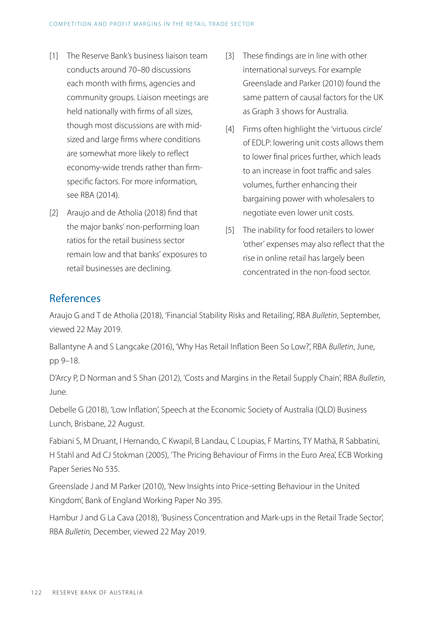- <span id="page-11-2"></span><span id="page-11-0"></span>The Reserve Bank's business liaison team [\[1\]](#page-1-0)  conducts around 70–80 discussions each month with firms, agencies and community groups. Liaison meetings are held nationally with firms of all sizes, though most discussions are with midsized and large firms where conditions are somewhat more likely to reflect economy-wide trends rather than firmspecific factors. For more information, see RBA (2014).
- <span id="page-11-3"></span><span id="page-11-1"></span>Araujo and de Atholia (2018) find that [\[2\]](#page-2-0)  the major banks' non-performing loan ratios for the retail business sector remain low and that banks' exposures to retail businesses are declining.
- These findings are in line with other [\[3\]](#page-3-0)  international surveys. For example Greenslade and Parker (2010) found the same pattern of causal factors for the UK as Graph 3 shows for Australia.
- [\[4\]](#page-7-0) Firms often highlight the 'virtuous circle' of EDLP: lowering unit costs allows them to lower final prices further, which leads to an increase in foot traffic and sales volumes, further enhancing their bargaining power with wholesalers to negotiate even lower unit costs.
- The inability for food retailers to lower [\[5\]](#page-8-0)  'other' expenses may also reflect that the rise in online retail has largely been concentrated in the non-food sector.

## References

Araujo G and T de Atholia (2018), ['Financial Stability Risks and Retailing'](https://www.rba.gov.au/publications/bulletin/2018/sep/financial-stability-risks-and-retailing.html), RBA *Bulletin*, September, viewed 22 May 2019.

Ballantyne A and S Langcake (2016), '[Why Has Retail Inflation Been So Low?](https://www.rba.gov.au/publications/bulletin/2016/jun/2.html)', RBA *Bulletin*, June, pp 9–18.

D'Arcy P, D Norman and S Shan (2012), ['Costs and Margins in the Retail Supply Chain](https://www.rba.gov.au/publications/bulletin/2012/jun/2.html)', RBA *Bulletin*, June.

Debelle G (2018), '[Low Inflation](https://www.rba.gov.au/speeches/2018/sp-dg-2018-08-22.html)', Speech at the Economic Society of Australia (QLD) Business Lunch, Brisbane, 22 August.

Fabiani S, M Druant, I Hernando, C Kwapil, B Landau, C Loupias, F Martins, TY Mathä, R Sabbatini, H Stahl and Ad CJ Stokman (2005), 'The Pricing Behaviour of Firms in the Euro Area', ECB Working Paper Series No 535.

Greenslade J and M Parker (2010), 'New Insights into Price-setting Behaviour in the United Kingdom', Bank of England Working Paper No 395.

Hambur J and G La Cava (2018), ['Business Concentration and Mark-ups in the Retail Trade Sector'](https://www.rba.gov.au/publications/bulletin/2018/dec/business-concentration-and-mark-ups-in-the-retail-trade-sector.html), RBA *Bulletin,* December, viewed 22 May 2019.